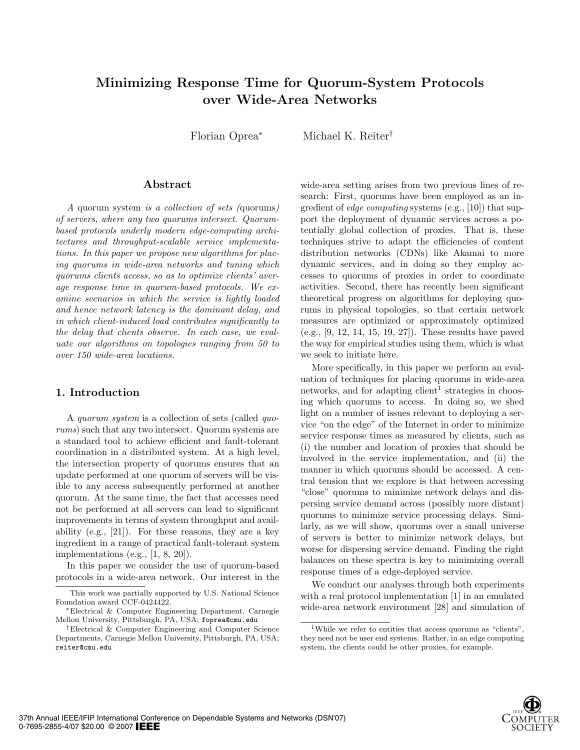# **Minimizing Response Time for Quorum-System Protocols over Wide-Area Networks**

Florian Oprea<sup>∗</sup> Michael K. Reiter†

## **Abstract**

*A* quorum system *is a collection of sets (*quorums*) of servers, where any two quorums intersect. Quorumbased protocols underly modern edge-computing architectures and throughput-scalable service implementations. In this paper we propose new algorithms for placing quorums in wide-area networks and tuning which quorums clients access, so as to optimize clients' average response time in quorum-based protocols. We examine scenarios in which the service is lightly loaded and hence network latency is the dominant delay, and in which client-induced load contributes significantly to the delay that clients observe. In each case, we evaluate our algorithms on topologies ranging from 50 to over 150 wide-area locations.*

## **1. Introduction**

A *quorum system* is a collection of sets (called *quorums*) such that any two intersect. Quorum systems are a standard tool to achieve efficient and fault-tolerant coordination in a distributed system. At a high level, the intersection property of quorums ensures that an update performed at one quorum of servers will be visible to any access subsequently performed at another quorum. At the same time, the fact that accesses need not be performed at all servers can lead to significant improvements in terms of system throughput and availability (e.g., [21]). For these reasons, they are a key ingredient in a range of practical fault-tolerant system implementations (e.g., [1, 8, 20]).

In this paper we consider the use of quorum-based protocols in a wide-area network. Our interest in the

wide-area setting arises from two previous lines of research: First, quorums have been employed as an ingredient of *edge computing* systems (e.g., [10]) that support the deployment of dynamic services across a potentially global collection of proxies. That is, these techniques strive to adapt the efficiencies of content distribution networks (CDNs) like Akamai to more dynamic services, and in doing so they employ accesses to quorums of proxies in order to coordinate activities. Second, there has recently been significant theoretical progress on algorithms for deploying quorums in physical topologies, so that certain network measures are optimized or approximately optimized (e.g., [9, 12, 14, 15, 19, 27]). These results have paved the way for empirical studies using them, which is what we seek to initiate here.

More specifically, in this paper we perform an evaluation of techniques for placing quorums in wide-area networks, and for adapting  $client<sup>1</sup>$  strategies in choosing which quorums to access. In doing so, we shed light on a number of issues relevant to deploying a service "on the edge" of the Internet in order to minimize service response times as measured by clients, such as (i) the number and location of proxies that should be involved in the service implementation, and (ii) the manner in which quorums should be accessed. A central tension that we explore is that between accessing "close" quorums to minimize network delays and dispersing service demand across (possibly more distant) quorums to minimize service processing delays. Similarly, as we will show, quorums over a small universe of servers is better to minimize network delays, but worse for dispersing service demand. Finding the right balances on these spectra is key to minimizing overall response times of a edge-deployed service.

We conduct our analyses through both experiments with a real protocol implementation [1] in an emulated wide-area network environment [28] and simulation of



This work was partially supported by U.S. National Science Foundation award CCF-0424422.

<sup>∗</sup>Electrical & Computer Engineering Department, Carnegie Mellon University, Pittsburgh, PA, USA; foprea@cmu.edu

<sup>†</sup>Electrical & Computer Engineering and Computer Science Departments, Carnegie Mellon University, Pittsburgh, PA, USA; reiter@cmu.edu

 $^1\rm{While}$  we refer to entities that access quorums as "clients", they need not be user end systems. Rather, in an edge computing system, the clients could be other proxies, for example.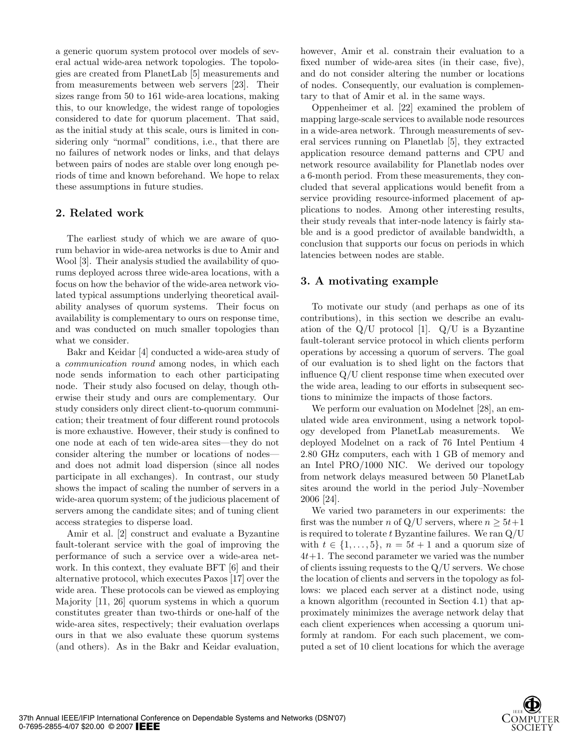a generic quorum system protocol over models of several actual wide-area network topologies. The topologies are created from PlanetLab [5] measurements and from measurements between web servers [23]. Their sizes range from 50 to 161 wide-area locations, making this, to our knowledge, the widest range of topologies considered to date for quorum placement. That said, as the initial study at this scale, ours is limited in considering only "normal" conditions, i.e., that there are no failures of network nodes or links, and that delays between pairs of nodes are stable over long enough periods of time and known beforehand. We hope to relax these assumptions in future studies.

# **2. Related work**

The earliest study of which we are aware of quorum behavior in wide-area networks is due to Amir and Wool [3]. Their analysis studied the availability of quorums deployed across three wide-area locations, with a focus on how the behavior of the wide-area network violated typical assumptions underlying theoretical availability analyses of quorum systems. Their focus on availability is complementary to ours on response time, and was conducted on much smaller topologies than what we consider.

Bakr and Keidar [4] conducted a wide-area study of a *communication round* among nodes, in which each node sends information to each other participating node. Their study also focused on delay, though otherwise their study and ours are complementary. Our study considers only direct client-to-quorum communication; their treatment of four different round protocols is more exhaustive. However, their study is confined to one node at each of ten wide-area sites—they do not consider altering the number or locations of nodes and does not admit load dispersion (since all nodes participate in all exchanges). In contrast, our study shows the impact of scaling the number of servers in a wide-area quorum system; of the judicious placement of servers among the candidate sites; and of tuning client access strategies to disperse load.

Amir et al. [2] construct and evaluate a Byzantine fault-tolerant service with the goal of improving the performance of such a service over a wide-area network. In this context, they evaluate BFT [6] and their alternative protocol, which executes Paxos [17] over the wide area. These protocols can be viewed as employing Majority [11, 26] quorum systems in which a quorum constitutes greater than two-thirds or one-half of the wide-area sites, respectively; their evaluation overlaps ours in that we also evaluate these quorum systems (and others). As in the Bakr and Keidar evaluation,

however, Amir et al. constrain their evaluation to a fixed number of wide-area sites (in their case, five), and do not consider altering the number or locations of nodes. Consequently, our evaluation is complementary to that of Amir et al. in the same ways.

Oppenheimer et al. [22] examined the problem of mapping large-scale services to available node resources in a wide-area network. Through measurements of several services running on Planetlab [5], they extracted application resource demand patterns and CPU and network resource availability for Planetlab nodes over a 6-month period. From these measurements, they concluded that several applications would benefit from a service providing resource-informed placement of applications to nodes. Among other interesting results, their study reveals that inter-node latency is fairly stable and is a good predictor of available bandwidth, a conclusion that supports our focus on periods in which latencies between nodes are stable.

# **3. A motivating example**

To motivate our study (and perhaps as one of its contributions), in this section we describe an evaluation of the  $Q/U$  protocol [1].  $Q/U$  is a Byzantine fault-tolerant service protocol in which clients perform operations by accessing a quorum of servers. The goal of our evaluation is to shed light on the factors that influence Q/U client response time when executed over the wide area, leading to our efforts in subsequent sections to minimize the impacts of those factors.

We perform our evaluation on Modelnet [28], an emulated wide area environment, using a network topology developed from PlanetLab measurements. We deployed Modelnet on a rack of 76 Intel Pentium 4 2.80 GHz computers, each with 1 GB of memory and an Intel PRO/1000 NIC. We derived our topology from network delays measured between 50 PlanetLab sites around the world in the period July–November 2006 [24].

We varied two parameters in our experiments: the first was the number n of Q/U servers, where  $n \geq 5t+1$ is required to tolerate t Byzantine failures. We ran  $Q/U$ with  $t \in \{1,\ldots,5\}, n = 5t + 1$  and a quorum size of  $4t+1$ . The second parameter we varied was the number of clients issuing requests to the Q/U servers. We chose the location of clients and servers in the topology as follows: we placed each server at a distinct node, using a known algorithm (recounted in Section 4.1) that approximately minimizes the average network delay that each client experiences when accessing a quorum uniformly at random. For each such placement, we computed a set of 10 client locations for which the average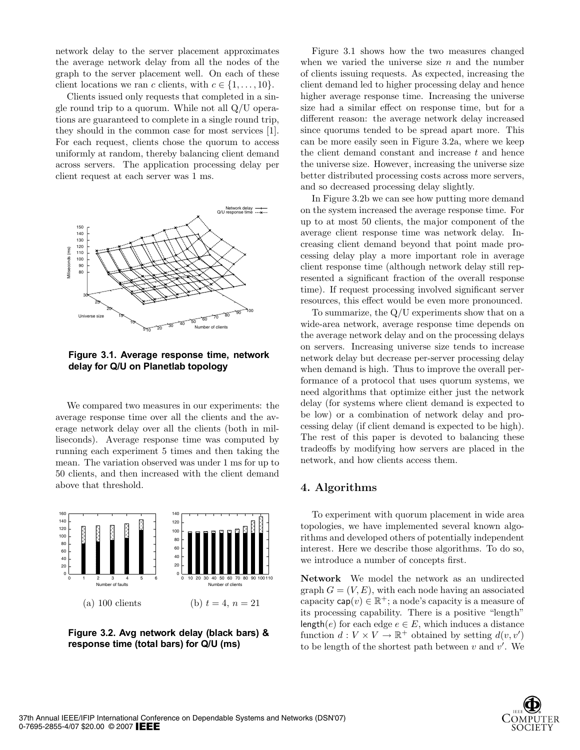network delay to the server placement approximates the average network delay from all the nodes of the graph to the server placement well. On each of these client locations we ran c clients, with  $c \in \{1, \ldots, 10\}.$ 

Clients issued only requests that completed in a single round trip to a quorum. While not all Q/U operations are guaranteed to complete in a single round trip, they should in the common case for most services [1]. For each request, clients chose the quorum to access uniformly at random, thereby balancing client demand across servers. The application processing delay per client request at each server was 1 ms.



**Figure 3.1. Average response time, network delay for Q/U on Planetlab topology**

We compared two measures in our experiments: the average response time over all the clients and the average network delay over all the clients (both in milliseconds). Average response time was computed by running each experiment 5 times and then taking the mean. The variation observed was under 1 ms for up to 50 clients, and then increased with the client demand above that threshold.



**Figure 3.2. Avg network delay (black bars) & response time (total bars) for Q/U (ms)**

Figure 3.1 shows how the two measures changed when we varied the universe size  $n$  and the number of clients issuing requests. As expected, increasing the client demand led to higher processing delay and hence higher average response time. Increasing the universe size had a similar effect on response time, but for a different reason: the average network delay increased since quorums tended to be spread apart more. This can be more easily seen in Figure 3.2a, where we keep the client demand constant and increase t and hence the universe size. However, increasing the universe size better distributed processing costs across more servers, and so decreased processing delay slightly.

In Figure 3.2b we can see how putting more demand on the system increased the average response time. For up to at most 50 clients, the major component of the average client response time was network delay. Increasing client demand beyond that point made processing delay play a more important role in average client response time (although network delay still represented a significant fraction of the overall response time). If request processing involved significant server resources, this effect would be even more pronounced.

To summarize, the Q/U experiments show that on a wide-area network, average response time depends on the average network delay and on the processing delays on servers. Increasing universe size tends to increase network delay but decrease per-server processing delay when demand is high. Thus to improve the overall performance of a protocol that uses quorum systems, we need algorithms that optimize either just the network delay (for systems where client demand is expected to be low) or a combination of network delay and processing delay (if client demand is expected to be high). The rest of this paper is devoted to balancing these tradeoffs by modifying how servers are placed in the network, and how clients access them.

# **4. Algorithms**

To experiment with quorum placement in wide area topologies, we have implemented several known algorithms and developed others of potentially independent interest. Here we describe those algorithms. To do so, we introduce a number of concepts first.

**Network** We model the network as an undirected graph  $G = (V, E)$ , with each node having an associated capacity  $\mathsf{cap}(v) \in \mathbb{R}^+$ ; a node's capacity is a measure of its processing capability. There is a positive "length" length(e) for each edge  $e \in E$ , which induces a distance function  $d: V \times V \to \mathbb{R}^+$  obtained by setting  $d(v, v')$ to be length of the shortest path between v and  $v'$ . We

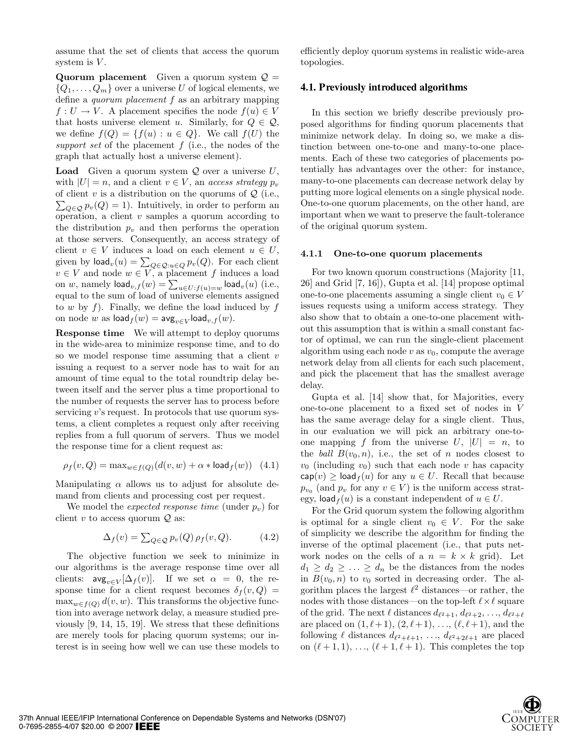assume that the set of clients that access the quorum system is  $V$ .

**Quorum placement** Given a quorum system  $Q =$  $\{Q_1,\ldots,Q_m\}$  over a universe U of logical elements, we define a *quorum placement* f as an arbitrary mapping  $f: U \to V$ . A placement specifies the node  $f(u) \in V$ that hosts universe element u. Similarly, for  $Q \in \mathcal{Q}$ , we define  $f(Q) = \{f(u) : u \in Q\}$ . We call  $f(U)$  the *support set* of the placement f (i.e., the nodes of the graph that actually host a universe element).

**Load** Given a quorum system Q over a universe U, with  $|U| = n$ , and a client  $v \in V$ , an *access strategy*  $p_v$ of client  $v$  is a distribution on the quorums of  $Q$  (i.e.,  $\sum_{Q \in \mathcal{Q}} p_v(Q) = 1$ . Intuitively, in order to perform an operation, a client  $v$  samples a quorum according to the distribution  $p_v$  and then performs the operation at those servers. Consequently, an access strategy of client  $v \in V$  induces a load on each element  $u \in U$ , given by  $\textsf{load}_v(u) = \sum_{Q \in \mathcal{Q}: u \in Q} p_v(Q)$ . For each client  $v \in V$  and node  $w \in V$ , a placement f induces a load on w, namely  $\mathsf{load}_{v,f}(w) = \sum_{u \in U: f(u) = w} \mathsf{load}_v(u)$  (i.e., equal to the sum of load of universe elements assigned to w by  $f$ ). Finally, we define the load induced by  $f$ on node w as  $\text{load}_f(w) = \text{avg}_{v \in V} \text{load}_{v, f}(w)$ .

**Response time** We will attempt to deploy quorums in the wide-area to minimize response time, and to do so we model response time assuming that a client  $v$ issuing a request to a server node has to wait for an amount of time equal to the total roundtrip delay between itself and the server plus a time proportional to the number of requests the server has to process before servicing  $v$ 's request. In protocols that use quorum systems, a client completes a request only after receiving replies from a full quorum of servers. Thus we model the response time for a client request as:

$$
\rho_f(v, Q) = \max_{w \in f(Q)} (d(v, w) + \alpha * \text{load}_f(w)) \quad (4.1)
$$

Manipulating  $\alpha$  allows us to adjust for absolute demand from clients and processing cost per request.

We model the *expected response time* (under  $p_v$ ) for client  $v$  to access quorum  $Q$  as:

$$
\Delta_f(v) = \sum_{Q \in \mathcal{Q}} p_v(Q) \rho_f(v, Q). \tag{4.2}
$$

The objective function we seek to minimize in our algorithms is the average response time over all clients:  $\arg_{v \in V}[\Delta_f(v)]$ . If we set  $\alpha = 0$ , the response time for a client request becomes  $\delta_f(v,Q)$  =  $\max_{w \in f(Q)} d(v, w)$ . This transforms the objective function into average network delay, a measure studied previously [9, 14, 15, 19]. We stress that these definitions are merely tools for placing quorum systems; our interest is in seeing how well we can use these models to efficiently deploy quorum systems in realistic wide-area topologies.

## **4.1. Previously introduced algorithms**

In this section we briefly describe previously proposed algorithms for finding quorum placements that minimize network delay. In doing so, we make a distinction between one-to-one and many-to-one placements. Each of these two categories of placements potentially has advantages over the other: for instance, many-to-one placements can decrease network delay by putting more logical elements on a single physical node. One-to-one quorum placements, on the other hand, are important when we want to preserve the fault-tolerance of the original quorum system.

#### **4.1.1 One-to-one quorum placements**

For two known quorum constructions (Majority [11, 26] and Grid [7, 16]), Gupta et al. [14] propose optimal one-to-one placements assuming a single client  $v_0 \in V$ issues requests using a uniform access strategy. They also show that to obtain a one-to-one placement without this assumption that is within a small constant factor of optimal, we can run the single-client placement algorithm using each node v as  $v_0$ , compute the average network delay from all clients for each such placement, and pick the placement that has the smallest average delay.

Gupta et al. [14] show that, for Majorities, every one-to-one placement to a fixed set of nodes in V has the same average delay for a single client. Thus, in our evaluation we will pick an arbitrary one-toone mapping f from the universe  $U, |U| = n$ , to the *ball*  $B(v_0, n)$ , i.e., the set of n nodes closest to  $v_0$  (including  $v_0$ ) such that each node v has capacity  $cap(v) \geq load_f(u)$  for any  $u \in U$ . Recall that because  $p_{v_0}$  (and  $p_v$  for any  $v \in V$ ) is the uniform access strategy, load  $f(u)$  is a constant independent of  $u \in U$ .

For the Grid quorum system the following algorithm is optimal for a single client  $v_0 \in V$ . For the sake of simplicity we describe the algorithm for finding the inverse of the optimal placement (i.e., that puts network nodes on the cells of a  $n = k \times k$  grid). Let  $d_1 \geq d_2 \geq \ldots \geq d_n$  be the distances from the nodes in  $B(v_0, n)$  to  $v_0$  sorted in decreasing order. The algorithm places the largest  $\ell^2$  distances—or rather, the nodes with those distances—on the top-left  $\ell \times \ell$  square of the grid. The next  $\ell$  distances  $d_{\ell^2+1}, d_{\ell^2+2}, \ldots, d_{\ell^2+\ell}$ are placed on  $(1, \ell + 1), (2, \ell + 1), \ldots, (\ell, \ell + 1)$ , and the following  $\ell$  distances  $d_{\ell^2+\ell+1}$ , ...,  $d_{\ell^2+2\ell+1}$  are placed on  $(\ell + 1, 1), \ldots, (\ell + 1, \ell + 1)$ . This completes the top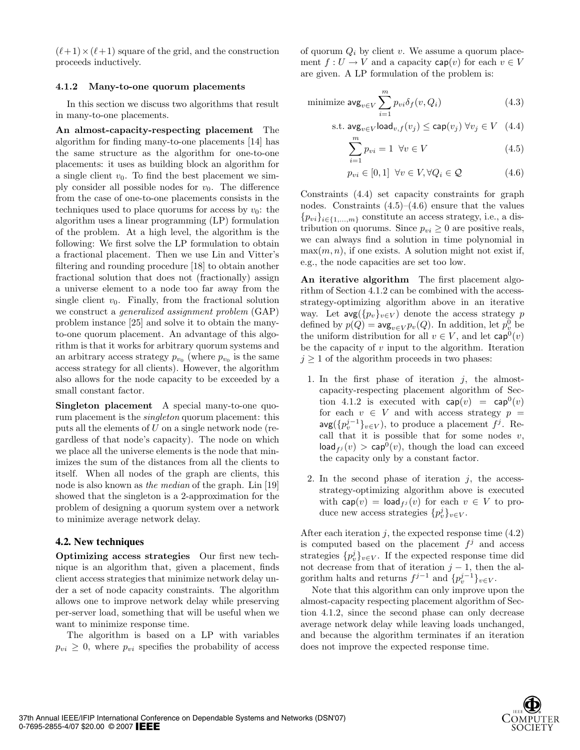$(\ell + 1) \times (\ell + 1)$  square of the grid, and the construction proceeds inductively.

#### **4.1.2 Many-to-one quorum placements**

In this section we discuss two algorithms that result in many-to-one placements.

**An almost-capacity-respecting placement** The algorithm for finding many-to-one placements [14] has the same structure as the algorithm for one-to-one placements: it uses as building block an algorithm for a single client  $v_0$ . To find the best placement we simply consider all possible nodes for  $v_0$ . The difference from the case of one-to-one placements consists in the techniques used to place quorums for access by  $v_0$ : the algorithm uses a linear programming (LP) formulation of the problem. At a high level, the algorithm is the following: We first solve the LP formulation to obtain a fractional placement. Then we use Lin and Vitter's filtering and rounding procedure [18] to obtain another fractional solution that does not (fractionally) assign a universe element to a node too far away from the single client  $v_0$ . Finally, from the fractional solution we construct a *generalized assignment problem* (GAP) problem instance [25] and solve it to obtain the manyto-one quorum placement. An advantage of this algorithm is that it works for arbitrary quorum systems and an arbitrary access strategy  $p_{v_0}$  (where  $p_{v_0}$  is the same access strategy for all clients). However, the algorithm also allows for the node capacity to be exceeded by a small constant factor.

**Singleton placement** A special many-to-one quorum placement is the *singleton* quorum placement: this puts all the elements of  $U$  on a single network node (regardless of that node's capacity). The node on which we place all the universe elements is the node that minimizes the sum of the distances from all the clients to itself. When all nodes of the graph are clients, this node is also known as *the median* of the graph. Lin [19] showed that the singleton is a 2-approximation for the problem of designing a quorum system over a network to minimize average network delay.

#### **4.2. New techniques**

**Optimizing access strategies** Our first new technique is an algorithm that, given a placement, finds client access strategies that minimize network delay under a set of node capacity constraints. The algorithm allows one to improve network delay while preserving per-server load, something that will be useful when we want to minimize response time.

The algorithm is based on a LP with variables  $p_{vi} \geq 0$ , where  $p_{vi}$  specifies the probability of access

of quorum  $Q_i$  by client v. We assume a quorum placement  $f: U \to V$  and a capacity  $\mathsf{cap}(v)$  for each  $v \in V$ are given. A LP formulation of the problem is:

minimize 
$$
\text{avg}_{v \in V} \sum_{i=1}^{m} p_{vi} \delta_f(v, Q_i)
$$
 (4.3)

$$
\text{s.t. } \text{avg}_{v \in V} \text{load}_{v, f}(v_j) \le \text{cap}(v_j) \,\forall v_j \in V \quad (4.4)
$$

$$
\sum_{i=1}^{m} p_{vi} = 1 \quad \forall v \in V \tag{4.5}
$$

$$
p_{vi} \in [0,1] \quad \forall v \in V, \forall Q_i \in \mathcal{Q} \tag{4.6}
$$

Constraints (4.4) set capacity constraints for graph nodes. Constraints  $(4.5)$ – $(4.6)$  ensure that the values  ${p_{vi}}_{i \in \{1,...,m\}}$  constitute an access strategy, i.e., a distribution on quorums. Since  $p_{vi} \geq 0$  are positive reals, we can always find a solution in time polynomial in  $\max(m, n)$ , if one exists. A solution might not exist if, e.g., the node capacities are set too low.

**An iterative algorithm** The first placement algorithm of Section 4.1.2 can be combined with the accessstrategy-optimizing algorithm above in an iterative way. Let  $\arg(\{p_v\}_{v\in V})$  denote the access strategy p defined by  $p(Q) = \text{avg}_{v \in V} p_v(Q)$ . In addition, let  $p_v^0$  be the uniform distribution for all  $v \in V$ , and let  $\mathsf{cap}^0(v)$ be the capacity of  $v$  input to the algorithm. Iteration  $j \geq 1$  of the algorithm proceeds in two phases:

- 1. In the first phase of iteration  $j$ , the almostcapacity-respecting placement algorithm of Section 4.1.2 is executed with  $cap(v) = cap<sup>0</sup>(v)$ for each  $v \in V$  and with access strategy  $p =$  $avg({p_v^{j-1}}_{v\in V}),$  to produce a placement  $f^j$ . Recall that it is possible that for some nodes  $v$ ,  $\text{load}_{f}(v) > \text{cap}^{0}(v)$ , though the load can exceed the capacity only by a constant factor.
- 2. In the second phase of iteration  $j$ , the accessstrategy-optimizing algorithm above is executed with  $\mathsf{cap}(v) = \mathsf{load}_{f^j}(v)$  for each  $v \in V$  to produce new access strategies  $\{p_v^j\}_{v\in V}$ .

After each iteration  $j$ , the expected response time  $(4.2)$ is computed based on the placement  $f<sup>j</sup>$  and access strategies  $\{p_v^j\}_{v\in V}$ . If the expected response time did not decrease from that of iteration  $j - 1$ , then the algorithm halts and returns  $f^{j-1}$  and  $\{p_v^{j-1}\}_{v\in V}$ .

Note that this algorithm can only improve upon the almost-capacity respecting placement algorithm of Section 4.1.2, since the second phase can only decrease average network delay while leaving loads unchanged, and because the algorithm terminates if an iteration does not improve the expected response time.

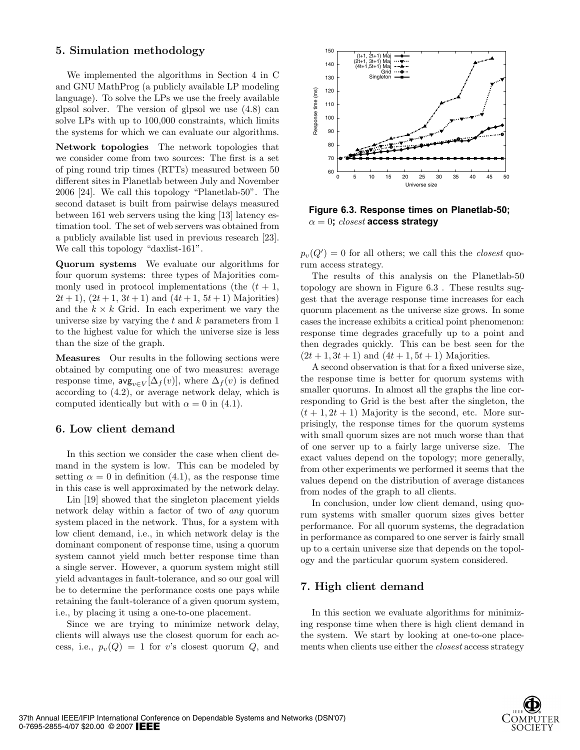### **5. Simulation methodology**

We implemented the algorithms in Section 4 in C and GNU MathProg (a publicly available LP modeling language). To solve the LPs we use the freely available glpsol solver. The version of glpsol we use (4.8) can solve LPs with up to 100,000 constraints, which limits the systems for which we can evaluate our algorithms.

**Network topologies** The network topologies that we consider come from two sources: The first is a set of ping round trip times (RTTs) measured between 50 different sites in Planetlab between July and November 2006 [24]. We call this topology "Planetlab-50". The second dataset is built from pairwise delays measured between 161 web servers using the king [13] latency estimation tool. The set of web servers was obtained from a publicly available list used in previous research [23]. We call this topology "daxlist-161".

**Quorum systems** We evaluate our algorithms for four quorum systems: three types of Majorities commonly used in protocol implementations (the  $(t + 1,$  $2t+1$ ,  $(2t+1, 3t+1)$  and  $(4t+1, 5t+1)$  Majorities) and the  $k \times k$  Grid. In each experiment we vary the universe size by varying the  $t$  and  $k$  parameters from 1 to the highest value for which the universe size is less than the size of the graph.

**Measures** Our results in the following sections were obtained by computing one of two measures: average response time,  $\arg_{v \in V} [\Delta_f(v)]$ , where  $\Delta_f(v)$  is defined according to (4.2), or average network delay, which is computed identically but with  $\alpha = 0$  in (4.1).

## **6. Low client demand**

In this section we consider the case when client demand in the system is low. This can be modeled by setting  $\alpha = 0$  in definition (4.1), as the response time in this case is well approximated by the network delay.

Lin [19] showed that the singleton placement yields network delay within a factor of two of *any* quorum system placed in the network. Thus, for a system with low client demand, i.e., in which network delay is the dominant component of response time, using a quorum system cannot yield much better response time than a single server. However, a quorum system might still yield advantages in fault-tolerance, and so our goal will be to determine the performance costs one pays while retaining the fault-tolerance of a given quorum system, i.e., by placing it using a one-to-one placement.

Since we are trying to minimize network delay, clients will always use the closest quorum for each access, i.e.,  $p_v(Q) = 1$  for v's closest quorum Q, and



**Figure 6.3. Response times on Planetlab-50;**  $\alpha = 0$ ; *closest* **access strategy** 

 $p_v(Q') = 0$  for all others; we call this the *closest* quorum access strategy.

The results of this analysis on the Planetlab-50 topology are shown in Figure 6.3 . These results suggest that the average response time increases for each quorum placement as the universe size grows. In some cases the increase exhibits a critical point phenomenon: response time degrades gracefully up to a point and then degrades quickly. This can be best seen for the  $(2t + 1, 3t + 1)$  and  $(4t + 1, 5t + 1)$  Majorities.

A second observation is that for a fixed universe size, the response time is better for quorum systems with smaller quorums. In almost all the graphs the line corresponding to Grid is the best after the singleton, the  $(t + 1, 2t + 1)$  Majority is the second, etc. More surprisingly, the response times for the quorum systems with small quorum sizes are not much worse than that of one server up to a fairly large universe size. The exact values depend on the topology; more generally, from other experiments we performed it seems that the values depend on the distribution of average distances from nodes of the graph to all clients.

In conclusion, under low client demand, using quorum systems with smaller quorum sizes gives better performance. For all quorum systems, the degradation in performance as compared to one server is fairly small up to a certain universe size that depends on the topology and the particular quorum system considered.

## **7. High client demand**

In this section we evaluate algorithms for minimizing response time when there is high client demand in the system. We start by looking at one-to-one placements when clients use either the *closest* access strategy

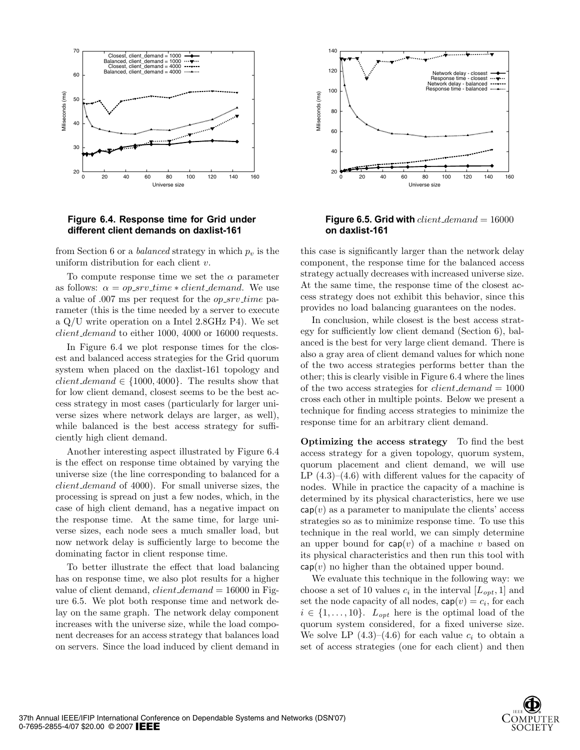

**Figure 6.4. Response time for Grid under different client demands on daxlist-161**

from Section 6 or a *balanced* strategy in which  $p<sub>v</sub>$  is the uniform distribution for each client v.

To compute response time we set the  $\alpha$  parameter as follows:  $\alpha = op\_srv\_time * client\_demand$ . We use a value of .007 ms per request for the *op\_srv\_time* parameter (this is the time needed by a server to execute a Q/U write operation on a Intel 2.8GHz P4). We set client demand to either 1000, 4000 or 16000 requests.

In Figure 6.4 we plot response times for the closest and balanced access strategies for the Grid quorum system when placed on the daxlist-161 topology and *client\_demand*  $\in \{1000, 4000\}$ . The results show that for low client demand, closest seems to be the best access strategy in most cases (particularly for larger universe sizes where network delays are larger, as well), while balanced is the best access strategy for sufficiently high client demand.

Another interesting aspect illustrated by Figure 6.4 is the effect on response time obtained by varying the universe size (the line corresponding to balanced for a client demand of 4000). For small universe sizes, the processing is spread on just a few nodes, which, in the case of high client demand, has a negative impact on the response time. At the same time, for large universe sizes, each node sees a much smaller load, but now network delay is sufficiently large to become the dominating factor in client response time.

To better illustrate the effect that load balancing has on response time, we also plot results for a higher value of client demand, *client\_demand* =  $16000$  in Figure 6.5. We plot both response time and network delay on the same graph. The network delay component increases with the universe size, while the load component decreases for an access strategy that balances load on servers. Since the load induced by client demand in



Figure 6.5. Grid with  $client\_demand = 16000$ **on daxlist-161**

this case is significantly larger than the network delay component, the response time for the balanced access strategy actually decreases with increased universe size. At the same time, the response time of the closest access strategy does not exhibit this behavior, since this provides no load balancing guarantees on the nodes.

In conclusion, while closest is the best access strategy for sufficiently low client demand (Section 6), balanced is the best for very large client demand. There is also a gray area of client demand values for which none of the two access strategies performs better than the other; this is clearly visible in Figure 6.4 where the lines of the two access strategies for *client\_demand*  $= 1000$ cross each other in multiple points. Below we present a technique for finding access strategies to minimize the response time for an arbitrary client demand.

**Optimizing the access strategy** To find the best access strategy for a given topology, quorum system, quorum placement and client demand, we will use LP  $(4.3)$ – $(4.6)$  with different values for the capacity of nodes. While in practice the capacity of a machine is determined by its physical characteristics, here we use  $cap(v)$  as a parameter to manipulate the clients' access strategies so as to minimize response time. To use this technique in the real world, we can simply determine an upper bound for  $cap(v)$  of a machine v based on its physical characteristics and then run this tool with  $cap(v)$  no higher than the obtained upper bound.

We evaluate this technique in the following way: we choose a set of 10 values  $c_i$  in the interval  $[L_{opt}, 1]$  and set the node capacity of all nodes,  $cap(v) = c_i$ , for each  $i \in \{1, \ldots, 10\}$ .  $L_{opt}$  here is the optimal load of the quorum system considered, for a fixed universe size. We solve LP  $(4.3)$ – $(4.6)$  for each value  $c_i$  to obtain a set of access strategies (one for each client) and then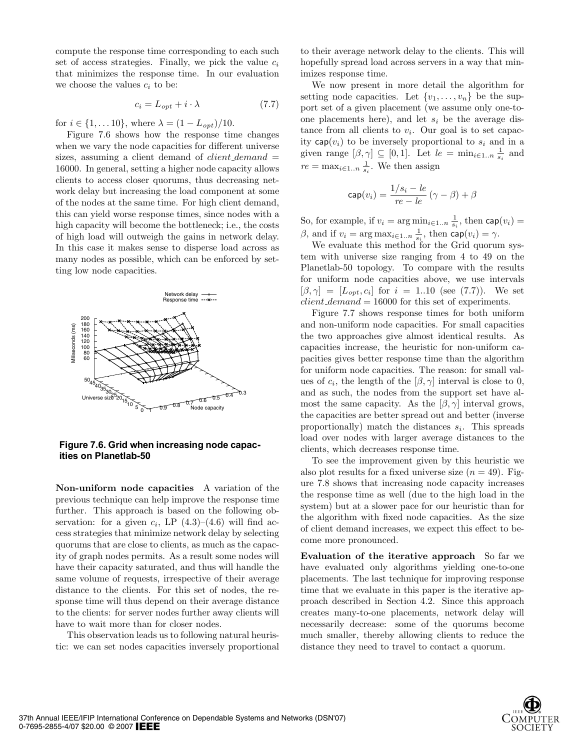compute the response time corresponding to each such set of access strategies. Finally, we pick the value  $c_i$ that minimizes the response time. In our evaluation we choose the values  $c_i$  to be:

$$
c_i = L_{opt} + i \cdot \lambda \tag{7.7}
$$

for  $i \in \{1, \ldots 10\}$ , where  $\lambda = (1 - L_{opt})/10$ .

Figure 7.6 shows how the response time changes when we vary the node capacities for different universe sizes, assuming a client demand of *client demand*  $=$ 16000. In general, setting a higher node capacity allows clients to access closer quorums, thus decreasing network delay but increasing the load component at some of the nodes at the same time. For high client demand, this can yield worse response times, since nodes with a high capacity will become the bottleneck; i.e., the costs of high load will outweigh the gains in network delay. In this case it makes sense to disperse load across as many nodes as possible, which can be enforced by setting low node capacities.



**Figure 7.6. Grid when increasing node capacities on Planetlab-50**

**Non-uniform node capacities** A variation of the previous technique can help improve the response time further. This approach is based on the following observation: for a given  $c_i$ , LP  $(4.3)$ – $(4.6)$  will find access strategies that minimize network delay by selecting quorums that are close to clients, as much as the capacity of graph nodes permits. As a result some nodes will have their capacity saturated, and thus will handle the same volume of requests, irrespective of their average distance to the clients. For this set of nodes, the response time will thus depend on their average distance to the clients: for server nodes further away clients will have to wait more than for closer nodes.

This observation leads us to following natural heuristic: we can set nodes capacities inversely proportional

to their average network delay to the clients. This will hopefully spread load across servers in a way that minimizes response time.

We now present in more detail the algorithm for setting node capacities. Let  $\{v_1, \ldots, v_n\}$  be the support set of a given placement (we assume only one-toone placements here), and let  $s_i$  be the average distance from all clients to  $v_i$ . Our goal is to set capacity  $cap(v_i)$  to be inversely proportional to  $s_i$  and in a given range  $[\beta, \gamma] \subseteq [0, 1]$ . Let  $le = \min_{i \in 1...n} \frac{1}{s_i}$  and  $re = \max_{i \in 1..n} \frac{1}{s_i}$ . We then assign

$$
\mathsf{cap}(v_i) = \frac{1/s_i - le}{re - le} \left(\gamma - \beta\right) + \beta
$$

So, for example, if  $v_i = \arg \min_{i \in 1..n} \frac{1}{s_i}$ , then  $\mathsf{cap}(v_i) =$  $\beta$ , and if  $v_i = \arg \max_{i \in 1..n} \frac{1}{s_i}$ , then  $cap(v_i) = \gamma$ .

We evaluate this method for the Grid quorum system with universe size ranging from 4 to 49 on the Planetlab-50 topology. To compare with the results for uniform node capacities above, we use intervals  $[\beta, \gamma] = [L_{opt}, c_i]$  for  $i = 1..10$  (see (7.7)). We set  $client\_demand = 16000$  for this set of experiments.

Figure 7.7 shows response times for both uniform and non-uniform node capacities. For small capacities the two approaches give almost identical results. As capacities increase, the heuristic for non-uniform capacities gives better response time than the algorithm for uniform node capacities. The reason: for small values of  $c_i$ , the length of the  $(\beta, \gamma]$  interval is close to 0, and as such, the nodes from the support set have almost the same capacity. As the  $[\beta, \gamma]$  interval grows, the capacities are better spread out and better (inverse proportionally) match the distances  $s_i$ . This spreads load over nodes with larger average distances to the clients, which decreases response time.

To see the improvement given by this heuristic we also plot results for a fixed universe size  $(n = 49)$ . Figure 7.8 shows that increasing node capacity increases the response time as well (due to the high load in the system) but at a slower pace for our heuristic than for the algorithm with fixed node capacities. As the size of client demand increases, we expect this effect to become more pronounced.

**Evaluation of the iterative approach** So far we have evaluated only algorithms yielding one-to-one placements. The last technique for improving response time that we evaluate in this paper is the iterative approach described in Section 4.2. Since this approach creates many-to-one placements, network delay will necessarily decrease: some of the quorums become much smaller, thereby allowing clients to reduce the distance they need to travel to contact a quorum.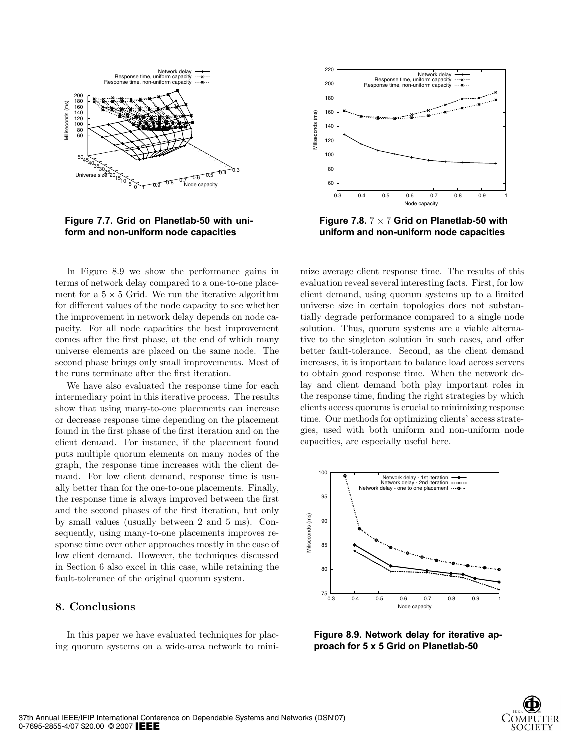

**Figure 7.7. Grid on Planetlab-50 with uni- Figure 7.8.** 7 × 7 **Grid on Planetlab-50 with**

In Figure 8.9 we show the performance gains in terms of network delay compared to a one-to-one placement for a  $5 \times 5$  Grid. We run the iterative algorithm for different values of the node capacity to see whether the improvement in network delay depends on node capacity. For all node capacities the best improvement comes after the first phase, at the end of which many universe elements are placed on the same node. The second phase brings only small improvements. Most of the runs terminate after the first iteration.

We have also evaluated the response time for each intermediary point in this iterative process. The results show that using many-to-one placements can increase or decrease response time depending on the placement found in the first phase of the first iteration and on the client demand. For instance, if the placement found puts multiple quorum elements on many nodes of the graph, the response time increases with the client demand. For low client demand, response time is usually better than for the one-to-one placements. Finally, the response time is always improved between the first and the second phases of the first iteration, but only by small values (usually between 2 and 5 ms). Consequently, using many-to-one placements improves response time over other approaches mostly in the case of low client demand. However, the techniques discussed in Section 6 also excel in this case, while retaining the fault-tolerance of the original quorum system.

# **8. Conclusions**

In this paper we have evaluated techniques for placing quorum systems on a wide-area network to mini-



**form and non-uniform node capacities uniform and non-uniform node capacities**

mize average client response time. The results of this evaluation reveal several interesting facts. First, for low client demand, using quorum systems up to a limited universe size in certain topologies does not substantially degrade performance compared to a single node solution. Thus, quorum systems are a viable alternative to the singleton solution in such cases, and offer better fault-tolerance. Second, as the client demand increases, it is important to balance load across servers to obtain good response time. When the network delay and client demand both play important roles in the response time, finding the right strategies by which clients access quorums is crucial to minimizing response time. Our methods for optimizing clients' access strategies, used with both uniform and non-uniform node capacities, are especially useful here.



**Figure 8.9. Network delay for iterative approach for 5 x 5 Grid on Planetlab-50**